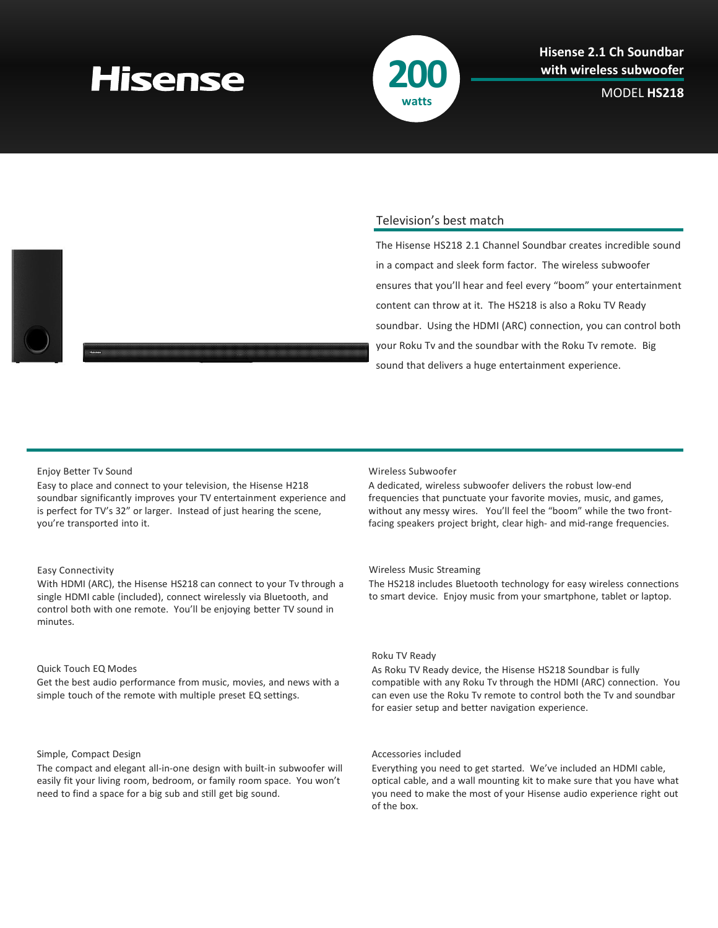# **Hisense**



MODEL **HS218**



# Television's best match

The Hisense HS218 2.1 Channel Soundbar creates incredible sound in a compact and sleek form factor. The wireless subwoofer ensures that you'll hear and feel every "boom" your entertainment content can throw at it. The HS218 is also a Roku TV Ready soundbar. Using the HDMI (ARC) connection, you can control both your Roku Tv and the soundbar with the Roku Tv remote. Big sound that delivers a huge entertainment experience.

## Enjoy Better Tv Sound

Easy to place and connect to your television, the Hisense H218 soundbar significantly improves your TV entertainment experience and is perfect for TV's 32" or larger. Instead of just hearing the scene, you're transported into it.

## Easy Connectivity

With HDMI (ARC), the Hisense HS218 can connect to your Tv through a single HDMI cable (included), connect wirelessly via Bluetooth, and control both with one remote. You'll be enjoying better TV sound in minutes.

# Quick Touch EQ Modes

Get the best audio performance from music, movies, and news with a simple touch of the remote with multiple preset EQ settings.

### Simple, Compact Design

The compact and elegant all-in-one design with built-in subwoofer will easily fit your living room, bedroom, or family room space. You won't need to find a space for a big sub and still get big sound.

#### Wireless Subwoofer

A dedicated, wireless subwoofer delivers the robust low-end frequencies that punctuate your favorite movies, music, and games, without any messy wires. You'll feel the "boom" while the two frontfacing speakers project bright, clear high- and mid-range frequencies.

#### Wireless Music Streaming

The HS218 includes Bluetooth technology for easy wireless connections to smart device. Enjoy music from your smartphone, tablet or laptop.

# Roku TV Ready

As Roku TV Ready device, the Hisense HS218 Soundbar is fully compatible with any Roku Tv through the HDMI (ARC) connection. You can even use the Roku Tv remote to control both the Tv and soundbar for easier setup and better navigation experience.

### Accessories included

Everything you need to get started. We've included an HDMI cable, optical cable, and a wall mounting kit to make sure that you have what you need to make the most of your Hisense audio experience right out of the box.